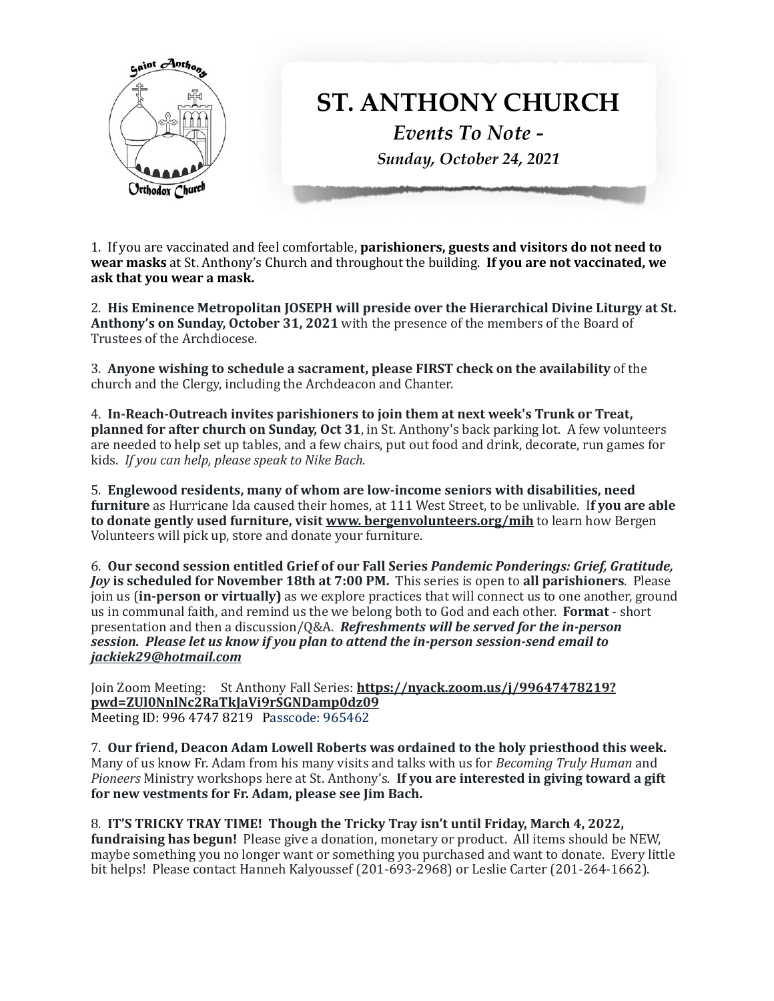

1. If you are vaccinated and feel comfortable, **parishioners, guests and visitors do not need to wear masks** at St. Anthony's Church and throughout the building. **If you are not vaccinated, we** ask that you wear a mask.

2. His Eminence Metropolitan JOSEPH will preside over the Hierarchical Divine Liturgy at St. **Anthony's on Sunday, October 31, 2021** with the presence of the members of the Board of Trustees of the Archdiocese.

3. Anyone wishing to schedule a sacrament, please FIRST check on the availability of the church and the Clergy, including the Archdeacon and Chanter.

4. In-Reach-Outreach invites parishioners to join them at next week's Trunk or Treat, **planned for after church on Sunday, Oct 31,** in St. Anthony's back parking lot. A few volunteers are needed to help set up tables, and a few chairs, put out food and drink, decorate, run games for kids. If you can help, please speak to Nike Bach.

5. Englewood residents, many of whom are low-income seniors with disabilities, need **furniture** as Hurricane Ida caused their homes, at 111 West Street, to be unlivable. If you are able **to donate gently used furniture, visit www. bergenvolunteers.org/mih** to learn how Bergen Volunteers will pick up, store and donate your furniture.

6. **Our second session entitled Grief of our Fall Series** *Pandemic Ponderings: Grief, Gratitude, Joy* **is scheduled for November 18th at 7:00 PM. This series is open to all parishioners. Please** join us (**in-person or virtually**) as we explore practices that will connect us to one another, ground us in communal faith, and remind us the we belong both to God and each other. Format - short presentation and then a discussion/Q&A. *Refreshments will be served for the in-person session.* Please let us know if you plan to attend the in-person session-send email to *jackiek29@hotmail.com* 

Join Zoom Meeting: St Anthony Fall Series: [https://nyack.zoom.us/j/99647478219?](https://nyack.zoom.us/j/99647478219?pwd=ZUl0NnlNc2RaTkJaVi9rSGNDamp0dz09) **[pwd=ZUl0NnlNc2RaTkJaVi9rSGNDamp0dz09](https://nyack.zoom.us/j/99647478219?pwd=ZUl0NnlNc2RaTkJaVi9rSGNDamp0dz09)**  Meeting ID: 996 4747 8219 Passcode: 965462

7. Our friend, Deacon Adam Lowell Roberts was ordained to the holy priesthood this week. Many of us know Fr. Adam from his many visits and talks with us for *Becoming Truly Human* and *Pioneers* Ministry workshops here at St. Anthony's. If you are interested in giving toward a gift for new vestments for Fr. Adam, please see Jim Bach.

8. **IT'S TRICKY TRAY TIME!** Though the Tricky Tray isn't until Friday, March 4, 2022, **fundraising has begun!** Please give a donation, monetary or product. All items should be NEW, maybe something you no longer want or something you purchased and want to donate. Every little bit helps! Please contact Hanneh Kalyoussef (201-693-2968) or Leslie Carter (201-264-1662).